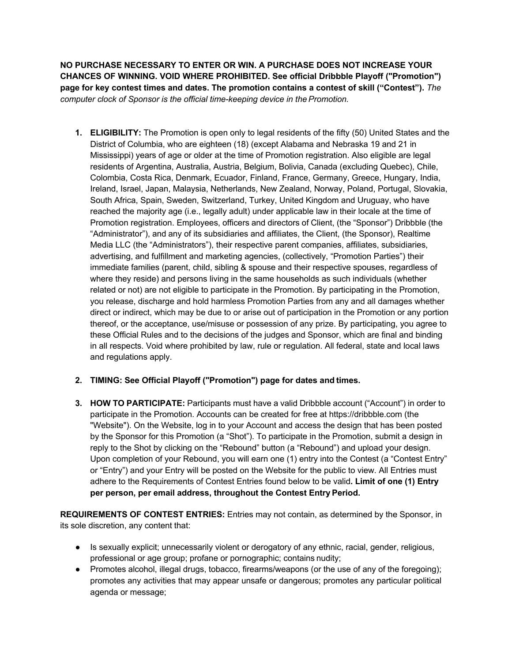**NO PURCHASE NECESSARY TO ENTER OR WIN. A PURCHASE DOES NOT INCREASE YOUR CHANCES OF WINNING. VOID WHERE PROHIBITED. See official Dribbble Playoff ("Promotion") page for key contest times and dates. The promotion contains a contest of skill ("Contest").** *The computer clock of Sponsor is the official time-keeping device in the Promotion.*

**1. ELIGIBILITY:** The Promotion is open only to legal residents of the fifty (50) United States and the District of Columbia, who are eighteen (18) (except Alabama and Nebraska 19 and 21 in Mississippi) years of age or older at the time of Promotion registration. Also eligible are legal residents of Argentina, Australia, Austria, Belgium, Bolivia, Canada (excluding Quebec), Chile, Colombia, Costa Rica, Denmark, Ecuador, Finland, France, Germany, Greece, Hungary, India, Ireland, Israel, Japan, Malaysia, Netherlands, New Zealand, Norway, Poland, Portugal, Slovakia, South Africa, Spain, Sweden, Switzerland, Turkey, United Kingdom and Uruguay, who have reached the majority age (i.e., legally adult) under applicable law in their locale at the time of Promotion registration. Employees, officers and directors of Client, (the "Sponsor") Dribbble (the "Administrator"), and any of its subsidiaries and affiliates, the Client, (the Sponsor), Realtime Media LLC (the "Administrators"), their respective parent companies, affiliates, subsidiaries, advertising, and fulfillment and marketing agencies, (collectively, "Promotion Parties") their immediate families (parent, child, sibling & spouse and their respective spouses, regardless of where they reside) and persons living in the same households as such individuals (whether related or not) are not eligible to participate in the Promotion. By participating in the Promotion, you release, discharge and hold harmless Promotion Parties from any and all damages whether direct or indirect, which may be due to or arise out of participation in the Promotion or any portion thereof, or the acceptance, use/misuse or possession of any prize. By participating, you agree to these Official Rules and to the decisions of the judges and Sponsor, which are final and binding in all respects. Void where prohibited by law, rule or regulation. All federal, state and local laws and regulations apply.

## **2. TIMING: See Official Playoff ("Promotion") page for dates and times.**

**3. HOW TO PARTICIPATE:** Participants must have a valid Dribbble account ("Account") in order to participate in the Promotion. Accounts can be created for free at https://dribbble.com (the "Website"). On the Website, log in to your Account and access the design that has been posted by the Sponsor for this Promotion (a "Shot"). To participate in the Promotion, submit a design in reply to the Shot by clicking on the "Rebound" button (a "Rebound") and upload your design. Upon completion of your Rebound, you will earn one (1) entry into the Contest (a "Contest Entry" or "Entry") and your Entry will be posted on the Website for the public to view. All Entries must adhere to the Requirements of Contest Entries found below to be valid**. Limit of one (1) Entry per person, per email address, throughout the Contest Entry Period.**

**REQUIREMENTS OF CONTEST ENTRIES:** Entries may not contain, as determined by the Sponsor, in its sole discretion, any content that:

- Is sexually explicit; unnecessarily violent or derogatory of any ethnic, racial, gender, religious, professional or age group; profane or pornographic; contains nudity;
- Promotes alcohol, illegal drugs, tobacco, firearms/weapons (or the use of any of the foregoing); promotes any activities that may appear unsafe or dangerous; promotes any particular political agenda or message;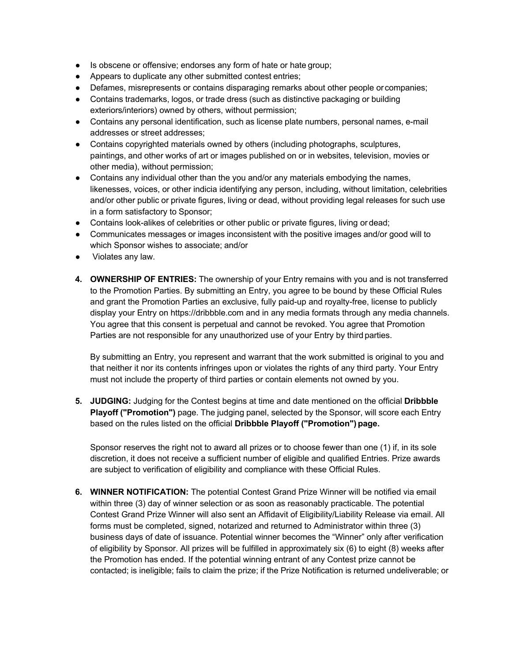- Is obscene or offensive; endorses any form of hate or hate group;
- Appears to duplicate any other submitted contest entries;
- Defames, misrepresents or contains disparaging remarks about other people orcompanies;
- Contains trademarks, logos, or trade dress (such as distinctive packaging or building exteriors/interiors) owned by others, without permission;
- Contains any personal identification, such as license plate numbers, personal names, e-mail addresses or street addresses;
- Contains copyrighted materials owned by others (including photographs, sculptures, paintings, and other works of art or images published on or in websites, television, movies or other media), without permission;
- Contains any individual other than the you and/or any materials embodying the names, likenesses, voices, or other indicia identifying any person, including, without limitation, celebrities and/or other public or private figures, living or dead, without providing legal releases for such use in a form satisfactory to Sponsor;
- Contains look-alikes of celebrities or other public or private figures, living or dead;
- Communicates messages or images inconsistent with the positive images and/or good will to which Sponsor wishes to associate; and/or
- Violates any law.
- **4. OWNERSHIP OF ENTRIES:** The ownership of your Entry remains with you and is not transferred to the Promotion Parties. By submitting an Entry, you agree to be bound by these Official Rules and grant the Promotion Parties an exclusive, fully paid-up and royalty-free, license to publicly display your Entry on https://dribbble.com and in any media formats through any media channels. You agree that this consent is perpetual and cannot be revoked. You agree that Promotion Parties are not responsible for any unauthorized use of your Entry by third parties.

By submitting an Entry, you represent and warrant that the work submitted is original to you and that neither it nor its contents infringes upon or violates the rights of any third party. Your Entry must not include the property of third parties or contain elements not owned by you.

**5. JUDGING:** Judging for the Contest begins at time and date mentioned on the official **Dribbble Playoff ("Promotion")** page. The judging panel, selected by the Sponsor, will score each Entry based on the rules listed on the official **Dribbble Playoff ("Promotion") page.**

Sponsor reserves the right not to award all prizes or to choose fewer than one (1) if, in its sole discretion, it does not receive a sufficient number of eligible and qualified Entries. Prize awards are subject to verification of eligibility and compliance with these Official Rules.

**6. WINNER NOTIFICATION:** The potential Contest Grand Prize Winner will be notified via email within three (3) day of winner selection or as soon as reasonably practicable. The potential Contest Grand Prize Winner will also sent an Affidavit of Eligibility/Liability Release via email. All forms must be completed, signed, notarized and returned to Administrator within three (3) business days of date of issuance. Potential winner becomes the "Winner" only after verification of eligibility by Sponsor. All prizes will be fulfilled in approximately six (6) to eight (8) weeks after the Promotion has ended. If the potential winning entrant of any Contest prize cannot be contacted; is ineligible; fails to claim the prize; if the Prize Notification is returned undeliverable; or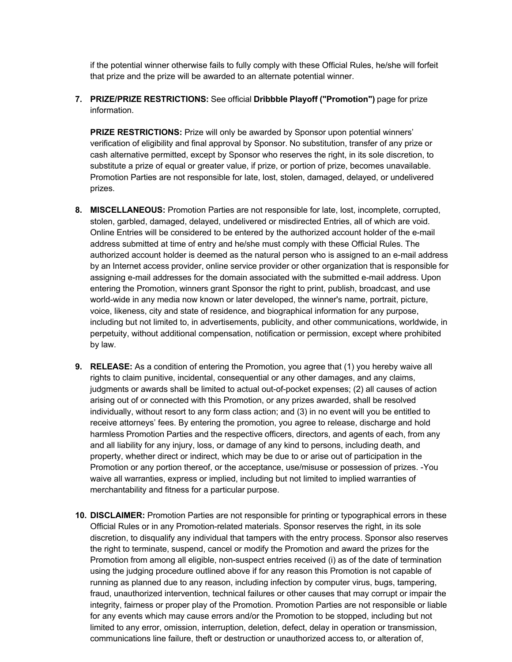if the potential winner otherwise fails to fully comply with these Official Rules, he/she will forfeit that prize and the prize will be awarded to an alternate potential winner.

**7. PRIZE/PRIZE RESTRICTIONS:** See official **Dribbble Playoff ("Promotion")** page for prize information.

**PRIZE RESTRICTIONS:** Prize will only be awarded by Sponsor upon potential winners' verification of eligibility and final approval by Sponsor. No substitution, transfer of any prize or cash alternative permitted, except by Sponsor who reserves the right, in its sole discretion, to substitute a prize of equal or greater value, if prize, or portion of prize, becomes unavailable. Promotion Parties are not responsible for late, lost, stolen, damaged, delayed, or undelivered prizes.

- **8. MISCELLANEOUS:** Promotion Parties are not responsible for late, lost, incomplete, corrupted, stolen, garbled, damaged, delayed, undelivered or misdirected Entries, all of which are void. Online Entries will be considered to be entered by the authorized account holder of the e-mail address submitted at time of entry and he/she must comply with these Official Rules. The authorized account holder is deemed as the natural person who is assigned to an e-mail address by an Internet access provider, online service provider or other organization that is responsible for assigning e-mail addresses for the domain associated with the submitted e-mail address. Upon entering the Promotion, winners grant Sponsor the right to print, publish, broadcast, and use world-wide in any media now known or later developed, the winner's name, portrait, picture, voice, likeness, city and state of residence, and biographical information for any purpose, including but not limited to, in advertisements, publicity, and other communications, worldwide, in perpetuity, without additional compensation, notification or permission, except where prohibited by law.
- **9. RELEASE:** As a condition of entering the Promotion, you agree that (1) you hereby waive all rights to claim punitive, incidental, consequential or any other damages, and any claims, judgments or awards shall be limited to actual out-of-pocket expenses; (2) all causes of action arising out of or connected with this Promotion, or any prizes awarded, shall be resolved individually, without resort to any form class action; and (3) in no event will you be entitled to receive attorneys' fees. By entering the promotion, you agree to release, discharge and hold harmless Promotion Parties and the respective officers, directors, and agents of each, from any and all liability for any injury, loss, or damage of any kind to persons, including death, and property, whether direct or indirect, which may be due to or arise out of participation in the Promotion or any portion thereof, or the acceptance, use/misuse or possession of prizes. -You waive all warranties, express or implied, including but not limited to implied warranties of merchantability and fitness for a particular purpose.
- **10. DISCLAIMER:** Promotion Parties are not responsible for printing or typographical errors in these Official Rules or in any Promotion-related materials. Sponsor reserves the right, in its sole discretion, to disqualify any individual that tampers with the entry process. Sponsor also reserves the right to terminate, suspend, cancel or modify the Promotion and award the prizes for the Promotion from among all eligible, non-suspect entries received (i) as of the date of termination using the judging procedure outlined above if for any reason this Promotion is not capable of running as planned due to any reason, including infection by computer virus, bugs, tampering, fraud, unauthorized intervention, technical failures or other causes that may corrupt or impair the integrity, fairness or proper play of the Promotion. Promotion Parties are not responsible or liable for any events which may cause errors and/or the Promotion to be stopped, including but not limited to any error, omission, interruption, deletion, defect, delay in operation or transmission, communications line failure, theft or destruction or unauthorized access to, or alteration of,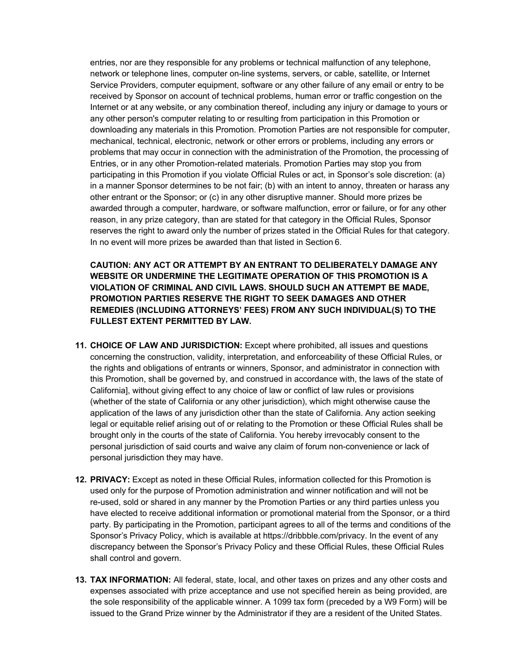entries, nor are they responsible for any problems or technical malfunction of any telephone, network or telephone lines, computer on-line systems, servers, or cable, satellite, or Internet Service Providers, computer equipment, software or any other failure of any email or entry to be received by Sponsor on account of technical problems, human error or traffic congestion on the Internet or at any website, or any combination thereof, including any injury or damage to yours or any other person's computer relating to or resulting from participation in this Promotion or downloading any materials in this Promotion. Promotion Parties are not responsible for computer, mechanical, technical, electronic, network or other errors or problems, including any errors or problems that may occur in connection with the administration of the Promotion, the processing of Entries, or in any other Promotion-related materials. Promotion Parties may stop you from participating in this Promotion if you violate Official Rules or act, in Sponsor's sole discretion: (a) in a manner Sponsor determines to be not fair; (b) with an intent to annoy, threaten or harass any other entrant or the Sponsor; or (c) in any other disruptive manner. Should more prizes be awarded through a computer, hardware, or software malfunction, error or failure, or for any other reason, in any prize category, than are stated for that category in the Official Rules, Sponsor reserves the right to award only the number of prizes stated in the Official Rules for that category. In no event will more prizes be awarded than that listed in Section 6.

**CAUTION: ANY ACT OR ATTEMPT BY AN ENTRANT TO DELIBERATELY DAMAGE ANY WEBSITE OR UNDERMINE THE LEGITIMATE OPERATION OF THIS PROMOTION IS A VIOLATION OF CRIMINAL AND CIVIL LAWS. SHOULD SUCH AN ATTEMPT BE MADE, PROMOTION PARTIES RESERVE THE RIGHT TO SEEK DAMAGES AND OTHER REMEDIES (INCLUDING ATTORNEYS' FEES) FROM ANY SUCH INDIVIDUAL(S) TO THE FULLEST EXTENT PERMITTED BY LAW.**

- **11. CHOICE OF LAW AND JURISDICTION:** Except where prohibited, all issues and questions concerning the construction, validity, interpretation, and enforceability of these Official Rules, or the rights and obligations of entrants or winners, Sponsor, and administrator in connection with this Promotion, shall be governed by, and construed in accordance with, the laws of the state of California], without giving effect to any choice of law or conflict of law rules or provisions (whether of the state of California or any other jurisdiction), which might otherwise cause the application of the laws of any jurisdiction other than the state of California. Any action seeking legal or equitable relief arising out of or relating to the Promotion or these Official Rules shall be brought only in the courts of the state of California. You hereby irrevocably consent to the personal jurisdiction of said courts and waive any claim of forum non-convenience or lack of personal jurisdiction they may have.
- **12. PRIVACY:** Except as noted in these Official Rules, information collected for this Promotion is used only for the purpose of Promotion administration and winner notification and will not be re-used, sold or shared in any manner by the Promotion Parties or any third parties unless you have elected to receive additional information or promotional material from the Sponsor, or a third party. By participating in the Promotion, participant agrees to all of the terms and conditions of the Sponsor's Privacy Policy, which is available at https://dribbble.com/privacy. In the event of any discrepancy between the Sponsor's Privacy Policy and these Official Rules, these Official Rules shall control and govern.
- **13. TAX INFORMATION:** All federal, state, local, and other taxes on prizes and any other costs and expenses associated with prize acceptance and use not specified herein as being provided, are the sole responsibility of the applicable winner. A 1099 tax form (preceded by a W9 Form) will be issued to the Grand Prize winner by the Administrator if they are a resident of the United States.